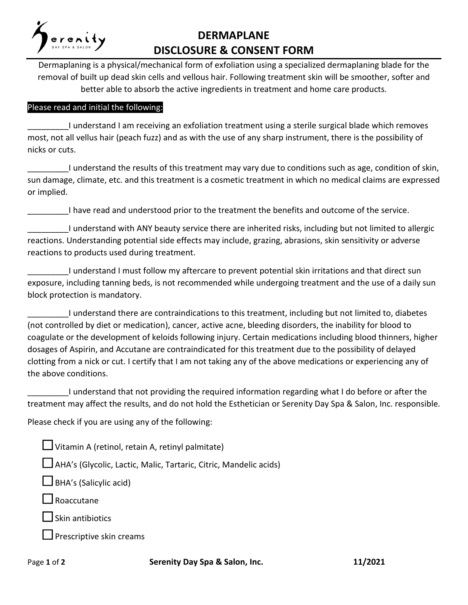

## **DERMAPLANE DISCLOSURE & CONSENT FORM**

Dermaplaning is a physical/mechanical form of exfoliation using a specialized dermaplaning blade for the removal of built up dead skin cells and vellous hair. Following treatment skin will be smoother, softer and better able to absorb the active ingredients in treatment and home care products.

## Please read and initial the following:

\_\_\_\_\_\_\_\_\_I understand I am receiving an exfoliation treatment using a sterile surgical blade which removes most, not all vellus hair (peach fuzz) and as with the use of any sharp instrument, there is the possibility of nicks or cuts.

I understand the results of this treatment may vary due to conditions such as age, condition of skin, sun damage, climate, etc. and this treatment is a cosmetic treatment in which no medical claims are expressed or implied.

I have read and understood prior to the treatment the benefits and outcome of the service.

\_\_\_\_\_\_\_\_\_I understand with ANY beauty service there are inherited risks, including but not limited to allergic reactions. Understanding potential side effects may include, grazing, abrasions, skin sensitivity or adverse reactions to products used during treatment.

\_\_\_\_\_\_\_\_\_I understand I must follow my aftercare to prevent potential skin irritations and that direct sun exposure, including tanning beds, is not recommended while undergoing treatment and the use of a daily sun block protection is mandatory.

I understand there are contraindications to this treatment, including but not limited to, diabetes (not controlled by diet or medication), cancer, active acne, bleeding disorders, the inability for blood to coagulate or the development of keloids following injury. Certain medications including blood thinners, higher dosages of Aspirin, and Accutane are contraindicated for this treatment due to the possibility of delayed clotting from a nick or cut. I certify that I am not taking any of the above medications or experiencing any of the above conditions.

\_\_\_\_\_\_\_\_\_I understand that not providing the required information regarding what I do before or after the treatment may affect the results, and do not hold the Esthetician or Serenity Day Spa & Salon, Inc. responsible.

Please check if you are using any of the following:

Vitamin A (retinol, retain A, retinyl palmitate)

AHA's (Glycolic, Lactic, Malic, Tartaric, Citric, Mandelic acids)

BHA's (Salicylic acid)

Roaccutane

Skin antibiotics

 $\Box$  Prescriptive skin creams